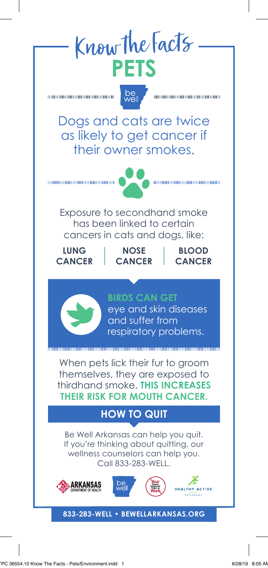